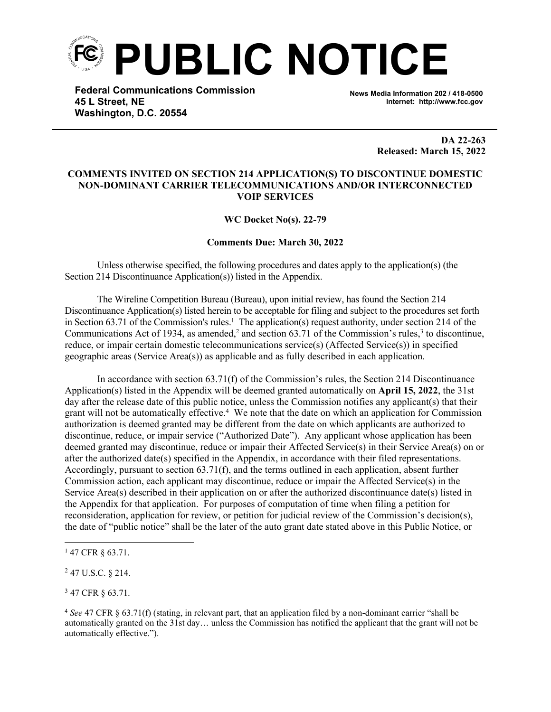

**Federal Communications Commission 45 L Street, NE Washington, D.C. 20554**

**News Media Information 202 / 418-0500 Internet: http://www.fcc.gov**

> **DA 22-263 Released: March 15, 2022**

## **COMMENTS INVITED ON SECTION 214 APPLICATION(S) TO DISCONTINUE DOMESTIC NON-DOMINANT CARRIER TELECOMMUNICATIONS AND/OR INTERCONNECTED VOIP SERVICES**

**WC Docket No(s). 22-79** 

## **Comments Due: March 30, 2022**

Unless otherwise specified, the following procedures and dates apply to the application(s) (the Section 214 Discontinuance Application(s)) listed in the Appendix.

The Wireline Competition Bureau (Bureau), upon initial review, has found the Section 214 Discontinuance Application(s) listed herein to be acceptable for filing and subject to the procedures set forth in Section 63.71 of the Commission's rules.<sup>1</sup> The application(s) request authority, under section 214 of the Communications Act of 1934, as amended,<sup>2</sup> and section 63.71 of the Commission's rules,<sup>3</sup> to discontinue, reduce, or impair certain domestic telecommunications service(s) (Affected Service(s)) in specified geographic areas (Service Area(s)) as applicable and as fully described in each application.

In accordance with section 63.71(f) of the Commission's rules, the Section 214 Discontinuance Application(s) listed in the Appendix will be deemed granted automatically on **April 15, 2022**, the 31st day after the release date of this public notice, unless the Commission notifies any applicant(s) that their grant will not be automatically effective.<sup>4</sup> We note that the date on which an application for Commission authorization is deemed granted may be different from the date on which applicants are authorized to discontinue, reduce, or impair service ("Authorized Date"). Any applicant whose application has been deemed granted may discontinue, reduce or impair their Affected Service(s) in their Service Area(s) on or after the authorized date(s) specified in the Appendix, in accordance with their filed representations. Accordingly, pursuant to section 63.71(f), and the terms outlined in each application, absent further Commission action, each applicant may discontinue, reduce or impair the Affected Service(s) in the Service Area(s) described in their application on or after the authorized discontinuance date(s) listed in the Appendix for that application. For purposes of computation of time when filing a petition for reconsideration, application for review, or petition for judicial review of the Commission's decision(s), the date of "public notice" shall be the later of the auto grant date stated above in this Public Notice, or

<sup>3</sup> 47 CFR § 63.71.

<sup>1</sup> 47 CFR § 63.71.

<sup>2</sup> 47 U.S.C. § 214.

<sup>4</sup> *See* 47 CFR § 63.71(f) (stating, in relevant part, that an application filed by a non-dominant carrier "shall be automatically granted on the 31st day… unless the Commission has notified the applicant that the grant will not be automatically effective.").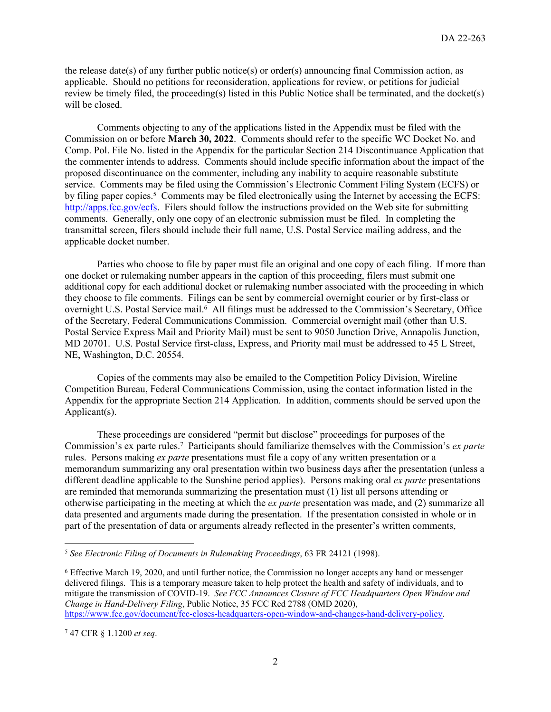the release date(s) of any further public notice(s) or order(s) announcing final Commission action, as applicable. Should no petitions for reconsideration, applications for review, or petitions for judicial review be timely filed, the proceeding(s) listed in this Public Notice shall be terminated, and the docket(s) will be closed.

Comments objecting to any of the applications listed in the Appendix must be filed with the Commission on or before **March 30, 2022**. Comments should refer to the specific WC Docket No. and Comp. Pol. File No. listed in the Appendix for the particular Section 214 Discontinuance Application that the commenter intends to address. Comments should include specific information about the impact of the proposed discontinuance on the commenter, including any inability to acquire reasonable substitute service. Comments may be filed using the Commission's Electronic Comment Filing System (ECFS) or by filing paper copies.<sup>5</sup> Comments may be filed electronically using the Internet by accessing the ECFS: [http://apps.fcc.gov/ecfs.](http://apps.fcc.gov/ecfs) Filers should follow the instructions provided on the Web site for submitting comments. Generally, only one copy of an electronic submission must be filed. In completing the transmittal screen, filers should include their full name, U.S. Postal Service mailing address, and the applicable docket number.

Parties who choose to file by paper must file an original and one copy of each filing. If more than one docket or rulemaking number appears in the caption of this proceeding, filers must submit one additional copy for each additional docket or rulemaking number associated with the proceeding in which they choose to file comments. Filings can be sent by commercial overnight courier or by first-class or overnight U.S. Postal Service mail.<sup>6</sup> All filings must be addressed to the Commission's Secretary, Office of the Secretary, Federal Communications Commission. Commercial overnight mail (other than U.S. Postal Service Express Mail and Priority Mail) must be sent to 9050 Junction Drive, Annapolis Junction, MD 20701. U.S. Postal Service first-class, Express, and Priority mail must be addressed to 45 L Street, NE, Washington, D.C. 20554.

Copies of the comments may also be emailed to the Competition Policy Division, Wireline Competition Bureau, Federal Communications Commission, using the contact information listed in the Appendix for the appropriate Section 214 Application. In addition, comments should be served upon the Applicant(s).

These proceedings are considered "permit but disclose" proceedings for purposes of the Commission's ex parte rules.<sup>7</sup> Participants should familiarize themselves with the Commission's *ex parte* rules. Persons making *ex parte* presentations must file a copy of any written presentation or a memorandum summarizing any oral presentation within two business days after the presentation (unless a different deadline applicable to the Sunshine period applies). Persons making oral *ex parte* presentations are reminded that memoranda summarizing the presentation must (1) list all persons attending or otherwise participating in the meeting at which the *ex parte* presentation was made, and (2) summarize all data presented and arguments made during the presentation. If the presentation consisted in whole or in part of the presentation of data or arguments already reflected in the presenter's written comments,

<sup>5</sup> *See Electronic Filing of Documents in Rulemaking Proceedings*, 63 FR 24121 (1998).

<sup>6</sup> Effective March 19, 2020, and until further notice, the Commission no longer accepts any hand or messenger delivered filings. This is a temporary measure taken to help protect the health and safety of individuals, and to mitigate the transmission of COVID-19. *See FCC Announces Closure of FCC Headquarters Open Window and Change in Hand-Delivery Filing*, Public Notice, 35 FCC Rcd 2788 (OMD 2020), [https://www.fcc.gov/document/fcc-closes-headquarters-open-window-and-changes-hand-delivery-policy.](https://www.fcc.gov/document/fcc-closes-headquarters-open-window-and-changes-hand-delivery-policy)

<sup>7</sup> 47 CFR § 1.1200 *et seq*.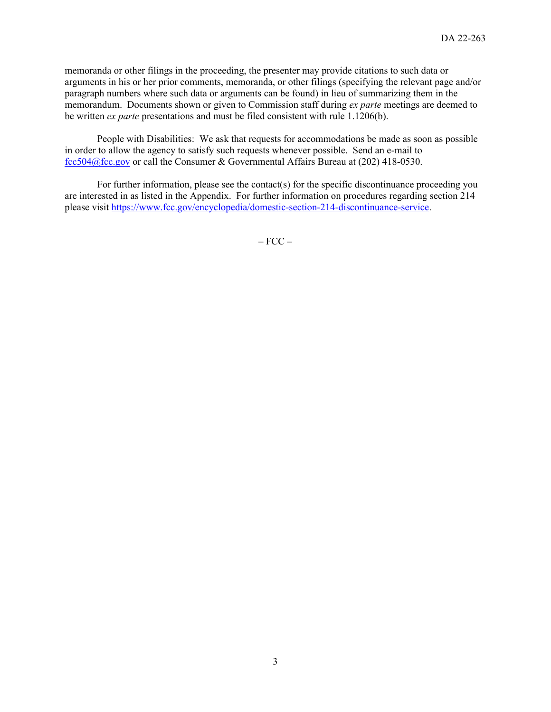memoranda or other filings in the proceeding, the presenter may provide citations to such data or arguments in his or her prior comments, memoranda, or other filings (specifying the relevant page and/or paragraph numbers where such data or arguments can be found) in lieu of summarizing them in the memorandum. Documents shown or given to Commission staff during *ex parte* meetings are deemed to be written *ex parte* presentations and must be filed consistent with rule 1.1206(b).

People with Disabilities: We ask that requests for accommodations be made as soon as possible in order to allow the agency to satisfy such requests whenever possible. Send an e-mail to [fcc504@fcc.gov](fcc504@fcc.gov%20) or call the Consumer & Governmental Affairs Bureau at (202) 418-0530.

For further information, please see the contact(s) for the specific discontinuance proceeding you are interested in as listed in the Appendix. For further information on procedures regarding section 214 please visit <https://www.fcc.gov/encyclopedia/domestic-section-214-discontinuance-service>.

 $-$  FCC  $-$